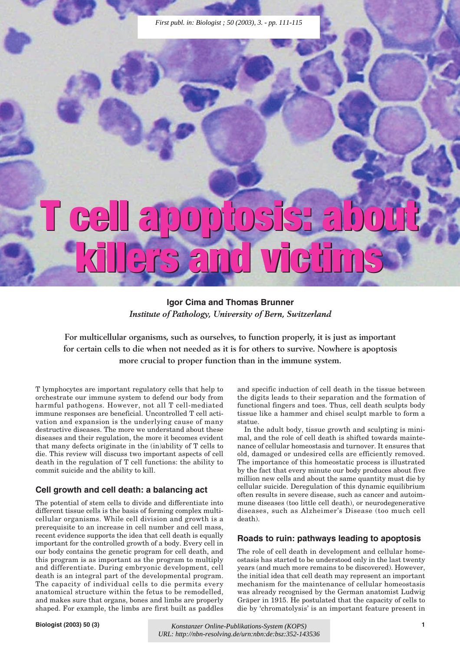# **T cell apoptosis: about T cell apoptosis: about killers and victims killers and victims**

**Igor Cima and Thomas Brunner** *Institute of Pathology, University of Bern, Switzerland*

**For multicellular organisms, such as ourselves, to function properly, it is just as important for certain cells to die when not needed as it is for others to survive. Nowhere is apoptosis more crucial to proper function than in the immune system.**

T lymphocytes are important regulatory cells that help to orchestrate our immune system to defend our body from harmful pathogens. However, not all T cell-mediated immune responses are beneficial. Uncontrolled T cell activation and expansion is the underlying cause of many destructive diseases. The more we understand about these diseases and their regulation, the more it becomes evident that many defects originate in the (in)ability of T cells to die. This review will discuss two important aspects of cell death in the regulation of T cell functions: the ability to commit suicide and the ability to kill.

## **Cell growth and cell death: a balancing act**

The potential of stem cells to divide and differentiate into different tissue cells is the basis of forming complex multicellular organisms. While cell division and growth is a prerequisite to an increase in cell number and cell mass, recent evidence supports the idea that cell death is equally important for the controlled growth of a body. Every cell in our body contains the genetic program for cell death, and this program is as important as the program to multiply and differentiate. During embryonic development, cell death is an integral part of the developmental program. The capacity of individual cells to die permits every anatomical structure within the fetus to be remodelled, and makes sure that organs, bones and limbs are properly shaped. For example, the limbs are first built as paddles

and specific induction of cell death in the tissue between the digits leads to their separation and the formation of functional fingers and toes. Thus, cell death sculpts body tissue like a hammer and chisel sculpt marble to form a statue.

In the adult body, tissue growth and sculpting is minimal, and the role of cell death is shifted towards maintenance of cellular homeostasis and turnover. It ensures that old, damaged or undesired cells are efficiently removed. The importance of this homeostatic process is illustrated by the fact that every minute our body produces about five million new cells and about the same quantity must die by cellular suicide. Deregulation of this dynamic equilibrium often results in severe disease, such as cancer and autoimmune diseases (too little cell death), or neurodegenerative diseases, such as Alzheimer's Disease (too much cell death).

## **Roads to ruin: pathways leading to apoptosis**

The role of cell death in development and cellular homeostasis has started to be understood only in the last twenty years (and much more remains to be discovered). However, the initial idea that cell death may represent an important mechanism for the maintenance of cellular homeostasis was already recognised by the German anatomist Ludwig Gräper in 1915. He postulated that the capacity of cells to die by 'chromatolysis' is an important feature present in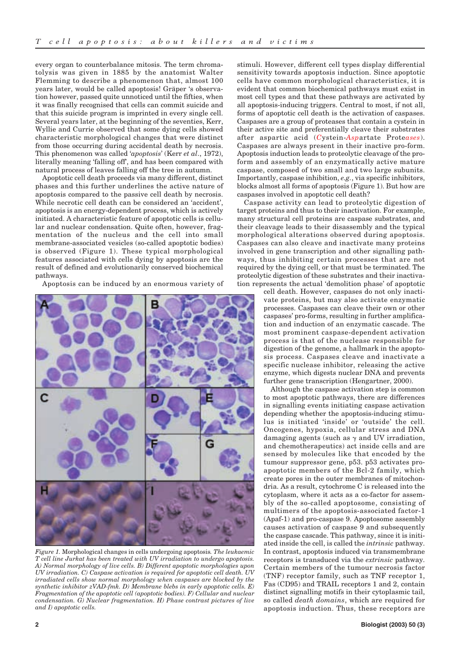every organ to counterbalance mitosis. The term chromatolysis was given in 1885 by the anatomist Walter Flemming to describe a phenomenon that, almost 100 years later, would be called apoptosis! Gräper 's observation however, passed quite unnoticed until the fifties, when it was finally recognised that cells can commit suicide and that this suicide program is imprinted in every single cell. Several years later, at the beginning of the seventies, Kerr, Wyllie and Currie observed that some dying cells showed characteristic morphological changes that were distinct from those occurring during accidental death by necrosis. This phenomenon was called '*apoptosis*' (Kerr *et al*., 1972), literally meaning 'falling off', and has been compared with natural process of leaves falling off the tree in autumn.

Apoptotic cell death proceeds via many different, distinct phases and this further underlines the active nature of apoptosis compared to the passive cell death by necrosis. While necrotic cell death can be considered an 'accident', apoptosis is an energy-dependent process, which is actively initiated. A characteristic feature of apoptotic cells is cellular and nuclear condensation. Quite often, however, fragmentation of the nucleus and the cell into small membrane-associated vesicles (so-called apoptotic bodies) is observed (Figure 1). These typical morphological features associated with cells dying by apoptosis are the result of defined and evolutionarily conserved biochemical pathways.

Apoptosis can be induced by an enormous variety of



*Figure 1.* Morphological changes in cells undergoing apoptosis*. The leukaemic T cell line Jurkat has been treated with UV irradiation to undergo apoptosis. A) Normal morphology of live cells. B) Different apoptotic morphologies upon UV irradiation. C) Caspase activation is required for apoptotic cell death. UV irradiated cells show normal morphology when caspases are blocked by the synthetic inhibitor zVAD-fmk. D) Membrane blebs in early apoptotic cells. E) Fragmentation of the apoptotic cell (apoptotic bodies). F) Cellular and nuclear condensation. G) Nuclear fragmentation. H) Phase contrast pictures of live and I) apoptotic cells.*

stimuli. However, different cell types display differential sensitivity towards apoptosis induction. Since apoptotic cells have common morphological characteristics, it is evident that common biochemical pathways must exist in most cell types and that these pathways are activated by all apoptosis-inducing triggers. Central to most, if not all, forms of apoptotic cell death is the activation of caspases. Caspases are a group of proteases that contain a cystein in their active site and preferentially cleave their substrates after aspartic acid (*C*ystein-*Asp*artate Prote*ases*). Caspases are always present in their inactive pro-form. Apoptosis induction leads to proteolytic cleavage of the proform and assembly of an enzymatically active mature caspase, composed of two small and two large subunits. Importantly, caspase inhibition, *e.g.*, via specific inhibitors, blocks almost all forms of apoptosis (Figure 1). But how are caspases involved in apoptotic cell death?

Caspase activity can lead to proteolytic digestion of target proteins and thus to their inactivation. For example, many structural cell proteins are caspase substrates, and their cleavage leads to their disassembly and the typical morphological alterations observed during apoptosis. Caspases can also cleave and inactivate many proteins involved in gene transcription and other signalling pathways, thus inhibiting certain processes that are not required by the dying cell, or that must be terminated. The proteolytic digestion of these substrates and their inactivation represents the actual 'demolition phase' of apoptotic

cell death. However, caspases do not only inactivate proteins, but may also activate enzymatic processes. Caspases can cleave their own or other caspases' pro-forms, resulting in further amplification and induction of an enzymatic cascade. The most prominent caspase-dependent activation process is that of the nuclease responsible for digestion of the genome, a hallmark in the apoptosis process. Caspases cleave and inactivate a specific nuclease inhibitor, releasing the active enzyme, which digests nuclear DNA and prevents further gene transcription (Hengartner, 2000).

Although the caspase activation step is common to most apoptotic pathways, there are differences in signalling events initiating caspase activation depending whether the apoptosis-inducing stimulus is initiated 'inside' or 'outside' the cell. Oncogenes, hypoxia, cellular stress and DNA damaging agents (such as  $\gamma$  and UV irradiation, and chemotherapeutics) act inside cells and are sensed by molecules like that encoded by the tumour suppressor gene, p53. p53 activates proapoptotic members of the Bcl-2 family, which create pores in the outer membranes of mitochondria. As a result, cytochrome C is released into the cytoplasm, where it acts as a co-factor for assembly of the so-called apoptosome, consisting of multimers of the apoptosis-associated factor-1 (Apaf-1) and pro-caspase 9. Apoptosome assembly causes activation of caspase 9 and subsequently the caspase cascade. This pathway, since it is initiated inside the cell, is called the *intrinsic* pathway. In contrast, apoptosis induced via transmembrane receptors is transduced via the *extrinsic* pathway. Certain members of the tumour necrosis factor (TNF) receptor family, such as TNF receptor 1, Fas (CD95) and TRAIL receptors 1 and 2, contain distinct signalling motifs in their cytoplasmic tail, so called *death domains*, which are required for apoptosis induction. Thus, these receptors are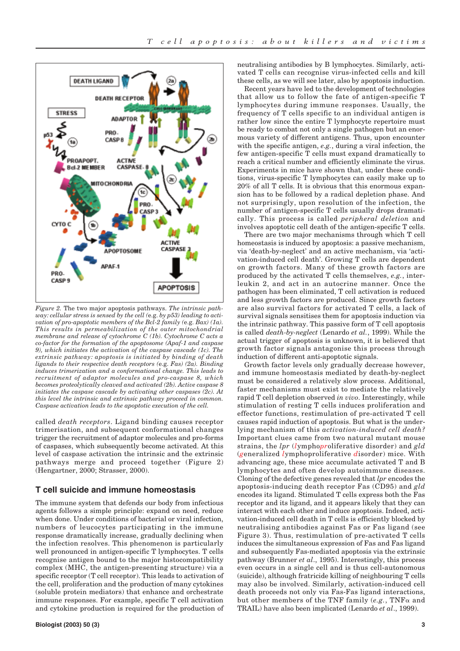

*Figure 2.* The two major apoptosis pathways. *The intrinsic pathway: cellular stress is sensed by the cell (*e.g. *by p53) leading to activation of pro-apoptotic members of the Bcl-2 family (*e.g. *Bax) (1a). This results in permeabilization of the outer mitochondrial membrane and release of cytochrome C (1b). Cytochrome C acts a co-factor for the formation of the apoptosome (Apaf-1 and caspase 9), which initiates the activation of the caspase cascade (1c). The extrinsic pathway: apoptosis is initiated by binding of death ligands to their respective death receptors (*e.g. *Fas) (2a). Binding induces trimerization and a conformational change. This leads to recruitment of adaptor molecules and pro-caspase 8, which becomes proteolytically cleaved and activated (2b). Active caspase 8 initiates the caspase cascade by activating other caspases (2c). At this level the intrinsic and extrinsic pathway proceed in common. Caspase activation leads to the apoptotic execution of the cell.*

called *death receptors*. Ligand binding causes receptor trimerisation, and subsequent conformational changes trigger the recruitment of adaptor molecules and pro-forms of caspases, which subsequently become activated. At this level of caspase activation the intrinsic and the extrinsic pathways merge and proceed together (Figure 2) (Hengartner, 2000; Strasser, 2000).

### **T cell suicide and immune homeostasis**

The immune system that defends our body from infectious agents follows a simple principle: expand on need, reduce when done. Under conditions of bacterial or viral infection, numbers of leucocytes participating in the immune response dramatically increase, gradually declining when the infection resolves. This phenomenon is particularly well pronounced in antigen-specific T lymphocytes. T cells recognise antigen bound to the major histocompatibility complex (MHC, the antigen-presenting structure) via a specific receptor (T cell receptor). This leads to activation of the cell, proliferation and the production of many cytokines (soluble protein mediators) that enhance and orchestrate immune responses. For example, specific T cell activation and cytokine production is required for the production of neutralising antibodies by B lymphocytes. Similarly, activated T cells can recognise virus-infected cells and kill these cells, as we will see later, also by apoptosis induction.

Recent years have led to the development of technologies that allow us to follow the fate of antigen-specific T lymphocytes during immune responses. Usually, the frequency of T cells specific to an individual antigen is rather low since the entire T lymphocyte repertoire must be ready to combat not only a single pathogen but an enormous variety of different antigens. Thus, upon encounter with the specific antigen, *e.g.*, during a viral infection, the few antigen-specific T cells must expand dramatically to reach a critical number and efficiently eliminate the virus. Experiments in mice have shown that, under these conditions, virus-specific T lymphocytes can easily make up to 20% of all T cells. It is obvious that this enormous expansion has to be followed by a radical depletion phase. And not surprisingly, upon resolution of the infection, the number of antigen-specific T cells usually drops dramatically. This process is called *peripheral deletion* and involves apoptotic cell death of the antigen-specific T cells.

There are two major mechanisms through which T cell homeostasis is induced by apoptosis: a passive mechanism, via 'death-by-neglect' and an active mechanism, via 'activation-induced cell death'. Growing T cells are dependent on growth factors. Many of these growth factors are produced by the activated T cells themselves, *e.g.*, interleukin 2, and act in an autocrine manner. Once the pathogen has been eliminated, T cell activation is reduced and less growth factors are produced. Since growth factors are also survival factors for activated T cells, a lack of survival signals sensitises them for apoptosis induction via the intrinsic pathway. This passive form of T cell apoptosis is called *death-by-neglect* (Lenardo *et al.*, 1999). While the actual trigger of apoptosis is unknown, it is believed that growth factor signals antagonise this process through induction of different anti-apoptotic signals.

Growth factor levels only gradually decrease however, and immune homeostasis mediated by death-by-neglect must be considered a relatively slow process. Additional, faster mechanisms must exist to mediate the relatively rapid T cell depletion observed *in vivo*. Interestingly, while stimulation of resting T cells induces proliferation and effector functions, restimulation of pre-activated T cell causes rapid induction of apoptosis. But what is the underlying mechanism of this *activation-induced cell death?* Important clues came from two natural mutant mouse strains, the *lpr* (*l*ympho*pr*oliferative disorder) and *gld* (*g*eneralized *l*ymphoproliferative *d*isorder) mice. With advancing age, these mice accumulate activated T and B lymphocytes and often develop autoimmune diseases. Cloning of the defective genes revealed that *lpr* encodes the apoptosis-inducing death receptor Fas (CD95) and *gld* encodes its ligand. Stimulated T cells express both the Fas receptor and its ligand, and it appears likely that they can interact with each other and induce apoptosis. Indeed, activation-induced cell death in T cells is efficiently blocked by neutralising antibodies against Fas or Fas ligand (see Figure 3). Thus, restimulation of pre-activated T cells induces the simultaneous expression of Fas and Fas ligand and subsequently Fas-mediated apoptosis via the extrinsic pathway (Brunner *et al*., 1995). Interestingly, this process even occurs in a single cell and is thus cell-autonomous (suicide), although fratricide killing of neighbouring T cells may also be involved. Similarly, activation-induced cell death proceeds not only via Fas-Fas ligand interactions, but other members of the TNF family  $(e.g., \text{TNF }\alpha \text{ and }$ TRAIL) have also been implicated (Lenardo *et al*., 1999).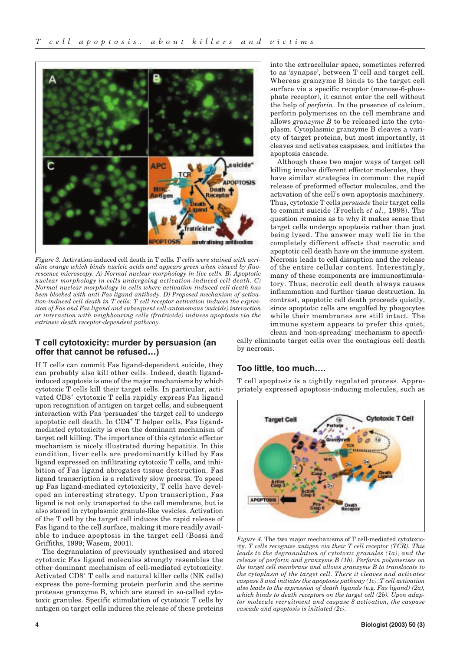

*Figure 3.* Activation-induced cell death in T cells*. T cells were stained with acridine orange which binds nucleic acids and appears green when viewed by fluorescence microscopy. A) Normal nuclear morphology in live cells. B) Apoptotic nuclear morphology in cells undergoing activation-induced cell death. C) Normal nuclear morphology in cells where activation-induced cell death has been blocked with anti-Fas ligand antibody. D) Proposed mechanism of activation-induced cell death in T cells: T cell receptor activation induces the expression of Fas and Fas ligand and subsequent cell-autonomous (suicide) interaction or interaction with neighbouring cells (fratricide) induces apoptosis via the extrinsic death receptor-dependent pathway.* 

## **T cell cytotoxicity: murder by persuasion (an offer that cannot be refused…)**

If T cells can commit Fas ligand-dependent suicide, they can probably also kill other cells. Indeed, death ligandinduced apoptosis is one of the major mechanisms by which cytotoxic T cells kill their target cells. In particular, activated CD8<sup>+</sup> cytotoxic T cells rapidly express Fas ligand upon recognition of antigen on target cells, and subsequent interaction with Fas 'persuades' the target cell to undergo apoptotic cell death. In CD4<sup>+</sup> T helper cells, Fas ligandmediated cytotoxicity is even the dominant mechanism of target cell killing. The importance of this cytotoxic effector mechanism is nicely illustrated during hepatitis. In this condition, liver cells are predominantly killed by Fas ligand expressed on infiltrating cytotoxic T cells, and inhibition of Fas ligand abrogates tissue destruction. Fas ligand transcription is a relatively slow process. To speed up Fas ligand-mediated cytotoxicity, T cells have developed an interesting strategy. Upon transcription, Fas ligand is not only transported to the cell membrane, but is also stored in cytoplasmic granule-like vesicles. Activation of the T cell by the target cell induces the rapid release of Fas ligand to the cell surface, making it more readily available to induce apoptosis in the target cell (Bossi and Griffiths, 1999; Wasem, 2001).

The degranulation of previously synthesised and stored cytotoxic Fas ligand molecules strongly resembles the other dominant mechanism of cell-mediated cytotoxicity. Activated CD8<sup>+</sup> T cells and natural killer cells (NK cells) express the pore-forming protein perforin and the serine protease granzyme B, which are stored in so-called cytotoxic granules. Specific stimulation of cytotoxic T cells by antigen on target cells induces the release of these proteins into the extracellular space, sometimes referred to as 'synapse', between T cell and target cell. Whereas granzyme B binds to the target cell surface via a specific receptor (manose-6-phosphate receptor), it cannot enter the cell without the help of *perforin*. In the presence of calcium, perforin polymerises on the cell membrane and allows *granzyme B* to be released into the cytoplasm. Cytoplasmic granzyme B cleaves a variety of target proteins, but most importantly, it cleaves and activates caspases, and initiates the apoptosis cascade.

Although these two major ways of target cell killing involve different effector molecules, they have similar strategies in common: the rapid release of preformed effector molecules, and the activation of the cell's own apoptosis machinery. Thus, cytotoxic T cells *persuade* their target cells to commit suicide (Froelich *et al*., 1998). The question remains as to why it makes sense that target cells undergo apoptosis rather than just being lysed. The answer may well lie in the completely different effects that necrotic and apoptotic cell death have on the immune system. Necrosis leads to cell disruption and the release of the entire cellular content. Interestingly, many of these components are immunostimulatory. Thus, necrotic cell death always causes inflammation and further tissue destruction. In contrast, apoptotic cell death proceeds quietly, since apoptotic cells are engulfed by phagocytes while their membranes are still intact. The immune system appears to prefer this quiet,

clean and 'non-spreading' mechanism to specifically eliminate target cells over the contagious cell death by necrosis.

## **Too little, too much….**

T cell apoptosis is a tightly regulated process. Appropriately expressed apoptosis-inducing molecules, such as



*Figure 4.* The two major mechanisms of T cell-mediated cytotoxicity*. T cells recognise antigen via their T cell receptor (TCR). This leads to the degranulation of cytotoxic granules (1a), and the release of perforin and granzyme B (1b). Perforin polymerises on the target cell membrane and allows granzyme B to translocate to the cytoplasm of the target cell. There it cleaves and activates caspase 3 and initiates the apoptosis pathway (1c). T cell activation also leads to the expression of death ligands (*e.g. *Fas ligand) (2a), which binds to death receptors on the target cell (2b). Upon adaptor molecule recruitment and caspase 8 activation, the caspase cascade and apoptosis is initiated (2c).*